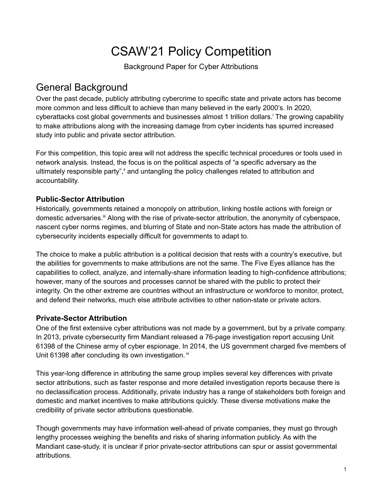# CSAW'21 Policy Competition

Background Paper for Cyber Attributions

## General Background

Over the past decade, publicly attributing cybercrime to specific state and private actors has become more common and less difficult to achieve than many believed in the early 2000's. In 2020, cyberattacks cost global governments and businesses almost 1 trillion dollars. <sup>i</sup> The growing capability to make attributions along with the increasing damage from cyber incidents has spurred increased study into public and private sector attribution.

For this competition, this topic area will not address the specific technical procedures or tools used in network analysis. Instead, the focus is on the political aspects of "a specific adversary as the ultimately responsible party", i and untangling the policy challenges related to attribution and accountability.

### **Public-Sector Attribution**

Historically, governments retained a monopoly on attribution, linking hostile actions with foreign or domestic adversaries.<sup>iii</sup> Along with the rise of private-sector attribution, the anonymity of cyberspace, nascent cyber norms regimes, and blurring of State and non-State actors has made the attribution of cybersecurity incidents especially difficult for governments to adapt to.

The choice to make a public attribution is a political decision that rests with a country's executive, but the abilities for governments to make attributions are not the same. The Five Eyes alliance has the capabilities to collect, analyze, and internally-share information leading to high-confidence attributions; however, many of the sources and processes cannot be shared with the public to protect their integrity. On the other extreme are countries without an infrastructure or workforce to monitor, protect, and defend their networks, much else attribute activities to other nation-state or private actors.

### **Private-Sector Attribution**

One of the first extensive cyber attributions was not made by a government, but by a private company. In 2013, private cybersecurity firm Mandiant released a 76-page investigation report accusing Unit 61398 of the Chinese army of cyber espionage. In 2014, the US government charged five members of Unit 61398 after concluding its own investigation. iv

This year-long difference in attributing the same group implies several key differences with private sector attributions, such as faster response and more detailed investigation reports because there is no declassification process. Additionally, private industry has a range of stakeholders both foreign and domestic and market incentives to make attributions quickly. These diverse motivations make the credibility of private sector attributions questionable.

Though governments may have information well-ahead of private companies, they must go through lengthy processes weighing the benefits and risks of sharing information publicly. As with the Mandiant case-study, it is unclear if prior private-sector attributions can spur or assist governmental attributions.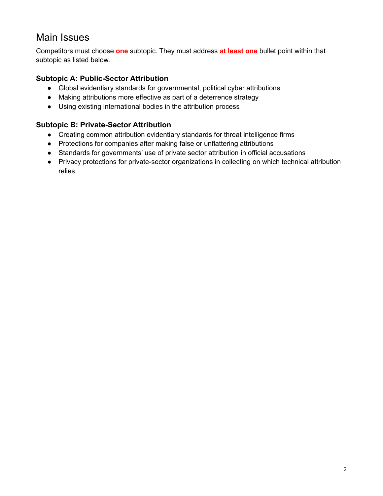### Main Issues

Competitors must choose **one** subtopic. They must address **at least one** bullet point within that subtopic as listed below.

#### **Subtopic A: Public-Sector Attribution**

- Global evidentiary standards for governmental, political cyber attributions
- Making attributions more effective as part of a deterrence strategy
- Using existing international bodies in the attribution process

#### **Subtopic B: Private-Sector Attribution**

- Creating common attribution evidentiary standards for threat intelligence firms
- Protections for companies after making false or unflattering attributions
- Standards for governments' use of private sector attribution in official accusations
- Privacy protections for private-sector organizations in collecting on which technical attribution relies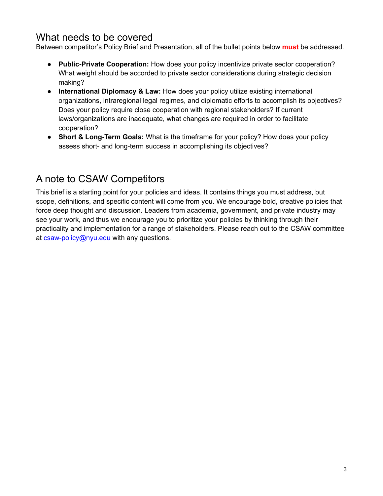### What needs to be covered

Between competitor's Policy Brief and Presentation, all of the bullet points below **must** be addressed.

- **Public-Private Cooperation:** How does your policy incentivize private sector cooperation? What weight should be accorded to private sector considerations during strategic decision making?
- **International Diplomacy & Law:** How does your policy utilize existing international organizations, intraregional legal regimes, and diplomatic efforts to accomplish its objectives? Does your policy require close cooperation with regional stakeholders? If current laws/organizations are inadequate, what changes are required in order to facilitate cooperation?
- **Short & Long-Term Goals:** What is the timeframe for your policy? How does your policy assess short- and long-term success in accomplishing its objectives?

# A note to CSAW Competitors

This brief is a starting point for your policies and ideas. It contains things you must address, but scope, definitions, and specific content will come from you. We encourage bold, creative policies that force deep thought and discussion. Leaders from academia, government, and private industry may see your work, and thus we encourage you to prioritize your policies by thinking through their practicality and implementation for a range of stakeholders. Please reach out to the CSAW committee at csaw-policy@nyu.edu with any questions.